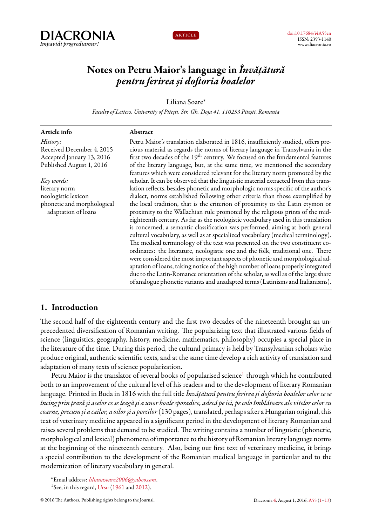



# **Notes on Petru Maior's language in** *Învățătură pentru ferirea și doftoria boalelor*

Liliana Soare*<sup>∗</sup>*

*Faculty of Letters, University of Pitești, Str. Gh. Doja 41, 110253 Pitești, Romania*

| Article info                                                                              | Abstract                                                                                                                                                                                                                                                                                                                                                                                                                                                                                                                                                                                                                                                                                                                                                                                                                                                                                                                                                                                                                                                                                                      |
|-------------------------------------------------------------------------------------------|---------------------------------------------------------------------------------------------------------------------------------------------------------------------------------------------------------------------------------------------------------------------------------------------------------------------------------------------------------------------------------------------------------------------------------------------------------------------------------------------------------------------------------------------------------------------------------------------------------------------------------------------------------------------------------------------------------------------------------------------------------------------------------------------------------------------------------------------------------------------------------------------------------------------------------------------------------------------------------------------------------------------------------------------------------------------------------------------------------------|
| History:<br>Received December 4, 2015                                                     | Petru Maior's translation elaborated in 1816, insufficiently studied, offers pre-<br>cious material as regards the norms of literary language in Transylvania in the                                                                                                                                                                                                                                                                                                                                                                                                                                                                                                                                                                                                                                                                                                                                                                                                                                                                                                                                          |
| Accepted January 13, 2016<br>Published August 1, 2016                                     | first two decades of the 19 <sup>th</sup> century. We focused on the fundamental features<br>of the literary language, but, at the same time, we mentioned the secondary<br>features which were considered relevant for the literary norm promoted by the                                                                                                                                                                                                                                                                                                                                                                                                                                                                                                                                                                                                                                                                                                                                                                                                                                                     |
| Key words:                                                                                | scholar. It can be observed that the linguistic material extracted from this trans-                                                                                                                                                                                                                                                                                                                                                                                                                                                                                                                                                                                                                                                                                                                                                                                                                                                                                                                                                                                                                           |
| literary norm<br>neologistic lexicon<br>phonetic and morphological<br>adaptation of loans | lation reflects, besides phonetic and morphologic norms specific of the author's<br>dialect, norms established following other criteria than those exemplified by<br>the local tradition, that is the criterion of proximity to the Latin etymon or<br>proximity to the Wallachian rule promoted by the religious prints of the mid-<br>eighteenth century. As far as the neologistic vocabulary used in this translation<br>is concerned, a semantic classification was performed, aiming at both general<br>cultural vocabulary, as well as at specialized vocabulary (medical terminology).<br>The medical terminology of the text was presented on the two constituent co-<br>ordinates: the literature, neologistic one and the folk, traditional one. There<br>were considered the most important aspects of phonetic and morphological ad-<br>aptation of loans, taking notice of the high number of loans properly integrated<br>due to the Latin-Romance orientation of the scholar, as well as of the large share<br>of analogue phonetic variants and unadapted terms (Latinisms and Italianisms). |
|                                                                                           |                                                                                                                                                                                                                                                                                                                                                                                                                                                                                                                                                                                                                                                                                                                                                                                                                                                                                                                                                                                                                                                                                                               |

# <span id="page-0-0"></span>**1. Introduction**

The second half of the eighteenth century and the first two decades of the nineteenth brought an unprecedented diversification of Romanian writing. The popularizing text that illustrated various fields of science (linguistics, geography, history, medicine, mathematics, philosophy) occupies a special place in the literature of the time. During this period, the cultural primacy is held by Transylvanian scholars who produce original, authentic scientific texts, and at the same time develop a rich activity of translation and adaptation of many texts of science popularization.

Petru Maior is the translator of several books of popularised science $^{\rm l}$  through which he contributed both to an improvement of the cultural level of his readers and to the development of literary Romanian language. Printed in Buda in 1816 with the full title*Învăţătură pentru ferirea şi doftoria boalelor celor ce se încing prin ţeară şi acelor ce se leagă şi a unor boale sporadice, adecă pe ici, pe colo îmblătoare ale vitelor celor cu coarne, precum şi a cailor, a oilor şi a porcilor*(130 pages), translated, perhaps after a Hungarian original, this text of veterinary medicine appeared in a significant period in the development of literary Romanian and raises several problems that demand to be studied. The writing contains a number of linguistic (phonetic, morphological and lexical) phenomena of importance to the history of Romanian literary language norms at the beginning of the nineteenth century. Also, being our first text of veterinary medicine, it brings a special contribution to the development of the Romanian medical language in particular and to the modernization of literary vocabulary in general.

*<sup>∗</sup>*Email address: *[lilianasoare2006@yahoo.com](mailto:lilianasoare2006@yahoo.com)*.

<span id="page-0-1"></span><sup>&</sup>lt;sup>1</sup>See, in this regard, [Ursu](#page-12-1) ([1961](#page-12-1) and [2012\)](#page-12-2).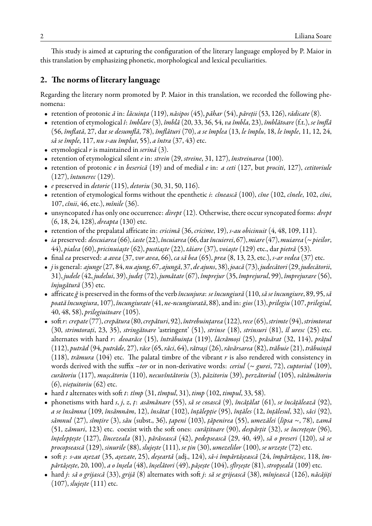This study is aimed at capturing the configuration of the literary language employed by P. Maior in this translation by emphasizing phonetic, morphological and lexical peculiarities.

# **2. The norms of literary language**

Regarding the literary norm promoted by P. Maior in this translation, we recorded the following phenomena:

- retention of protonic *ă* in: *lăcuința* (119), *năsipos* (45), *păhar* (54), *păreții* (53, 126), *rădicate* (8).
- retention of etymological *î*: *îmblare* (3), *îmblă* (20, 33, 36, 54, *va îmbla*, 23), *îmblătoare* (f.t.), *se îmflă* (56, *îmflată*, 27, dar *se desumflă*, 78), *îmflături* (70), *a se împlea* (13, *le împlu*, 18, *le împle*, 11, 12, 24, *să se împle*, 117, *nu s-au împlut*, 55), *a întra* (37, 43) etc.
- etymological *r* is maintained in *serină* (3).
- retention of etymological silent *e* in: *strein* (29, *streine*, 31, 127), *înstreinarea* (100).
- retention of protonic *e* in *beserică* (19) and of medial *e* in: *a ceti* (127, but *prociti*, 127), *cetitoriule* (127), *întunerec* (129).
- *e* preserved in *detorie* (115), *detoriu* (30, 31, 50, 116).
- retention of etymological forms without the epenthetic *i*: *cînească* (100), *cîne* (102, *cînele*, 102, *cîni*, 107, *cînii*, 46, etc.), *mînile* (36).
- unsyncopated *i* has only one occurrence: *dirept* (12). Otherwise, there occur syncopated forms: *drept* (6, 18, 24, 128), *dreapta* (130) etc.
- retention of the prepalatal affricate in: *cricimă* (36, *cricime*, 19), *s-au obicinuit* (4, 48, 109, 111).
- *ia* preserved: *descuiarea* (66), *iaste*(22), *încuiarea* (66, dar*încuierei*, 67),*miare*(47),*muiarea* (~*pieilor*, 44), *pialea* (60), *pricinuiaște* (62), *pustiaște* (22), *tăiare* (37), *voiaște* (129) etc., dar *pietră* (53).
- final *ea* preserved: *a avea* (37, *vor avea*, 66), *ca să bea* (65), *prea* (8, 13, 23, etc.), *s-ar vedea* (37) etc.
- *j* is general: *ajunge*(27, 84, *nu ajung*, 67, *ajungă*, 37, *de ajuns*, 38), *joacă* (73), *judecători*(29, *judecătorii*, 31), *judele* (42, *judelui*, 39), *județ* (72), *jumătate* (67), *împrejur* (35, *împrejurul*, 99), *împrejurare* (56), *înjugătură* (35) etc.
- affricate*ğ* is preserved in the forms of the verb *încunjura*: *se încungiură* (110, *să se încungiure*, 89, 95, *să poată încungiura*, 107), *încungiurate*(41, *ne-ncungiurată*, 88), and in: *gios*(13), *prilegiu* (107, *prilegiul*, 40, 48, 58), *prilegiuitoare* (105).
- soft *r*: *crepate*(77),*crepătura* (80,*crepături*, 92), *întrebuințarea* (122),*rece*(65), *strimte*(94), *strimtorat* (30, *strimtorați*, 23, 35), *stringătoare* 'astringent' (51), *strinse* (18), *strinsuri* (81), *îl uresc* (25) etc. alternates with hard *r*: *deoarăce* (15), *întrăbuința* (119), *lăcrămoși* (25), *prăsărat* (32, 114), *prățul* (112), *putrăd* (94, *putrăde*, 27), *răce* (65, *răci*, 64), *rătrași* (26), *răvărsarea* (82), *trăbuie* (21), *trăbuință* (118), *trămura* (104) etc. The palatal timbre of the vibrant *r* is also rendered with consistency in words derived with the suffix *–tor* or in non-derivative words: *ceriul* (~ *gurei*, 72), *cuptoriul* (109), *curătoriu* (117), *mușcătoriu* (110), *necuvîntătoriu* (3), *păzitoriu* (39), *perzătoriul* (105), *vătămătoriu* (6), *viețuitoriu* (62) etc.
- hard *t* alternates with soft *t*: *tîmp* (31, *tîmpul*, 31), *timp* (102, *timpul*, 33, 58).
- phonetisms with hard *s*, *j*, *z*, *ț*: *asămănare* (55), *să se cosască* (9), *încățălat* (61), *se încățălează* (92), *a se însămna* (109, *însămnăm*, 12), *însătat* (102), *înțălepție* (95), *înțăles* (12, *înțălesul*, 32), *săci* (92), *sămnul* (27), *sîmțire* (3), *său* (subst., 36), *țapeni* (103), *țăpenirea* (55), *umezălei* (*lipsa* ~, 78), *zamă* (51, *zămuri*, 123) etc. coexist with the soft ones: *curățitoare* (90), *despărțit* (32), *se încrețește* (96), *înțelepțește* (127), *lîncezeala* (81), *părăsească* (42), *pedepsească* (29, 40, 49), *să o preseri* (120), *să se procopsească* (129), *sinurile* (88), *slujește* (111), *se țin* (30), *umezelilor* (100), *se urzește* (72) etc.
- soft *ș*: *s-au așezat* (35, *așezate*, 25), *deșeartă* (adj., 124), *să-i împărtășească* (24, *împărtășesc*, 118, *împărtășește*, 20, 100), *a o înșela* (48), *înșelători* (49), *pășește* (104), *sfîrșește* (81), *stropșeală* (109) etc.
- hard *j*: *să o grijască* (33), *grijă* (8) alternates with soft *j*: *să se grijească* (38), *mînjească* (126), *năcăjiți* (107), *slujește* (111) etc.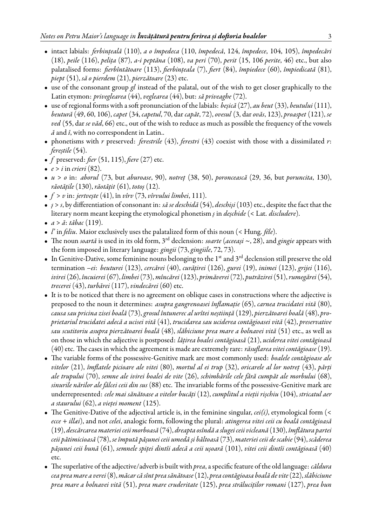- intact labials: *ferbințeală* (110), *a o împedeca* (110, *împedecă*, 124, *împedece*, 104, 105), *împedecări* (18), *peile* (116), *pelița* (87), *a-i peptăna* (108), *va peri* (70), *perit* (15, 106 *perite*, 46) etc., but also palatalised forms: *fierbîntătoare* (113), *fierbințeala* (7), *fiert* (84), *împiedece* (60), *împiedicată* (81), *piept* (51), *să o pierdem* (21), *pierzătoare* (23) etc.
- use of the consonant group *gl* instead of the palatal, out of the wish to get closer graphically to the Latin etymon: *priveglearea* (44), *veglearea* (44), but: *să priveaghe* (72).
- use of regional forms with a soft pronunciation of the labials: *beșică* (27), *au beut* (33), *beutului*(111), *beutură* (49, 60, 106), *capet* (34, *capetul*, 70, dar *capăt*, 72), *ovesul* (3, dar *ovăs*, 123), *proaspet* (121), *se ved* (55, dar *se văd*, 66) etc., out of the wish to reduce as much as possible the frequency of the vowels *ă* and *î*, with no correspondent in Latin..
- phonetisms with *r* preserved: *ferestrile* (43), *ferestri* (43) coexist with those with a dissimilated *r*: *fereștile* (54).
- *f* preserved: *fier* (51, 115), *fiere* (27) etc.
- $e > i$  in *crieri* (82).
- *u* > *o* in: *aborul* (73, but *aburoase*, 90), *notreț* (38, 50), *poroncească* (29, 36, but *poruncita*, 130), *răotățile* (130), *răotățit* (61), *totoș* (12).
- *f* > *v* in: *jertvește* (41), în *vîrv* (73, *vîrvului limbei*, 111).
- *ș* > *s*, by differentiation of consonant in: *să se deschidă* (54), *deschiși* (103) etc., despite the fact that the literary norm meant keeping the etymological phonetism *ș* in *deșchide* (< Lat. *discludere*).
- *a* > *ă*: *tăbac* (119).
- *l'* in *feliu*. Maior exclusively uses the palatalized form of this noun (< Hung. *féle*).
- The noun *soartă* is used in its old form, 3rd declension: *soarte* (*aceeași* ~, 28), and *gingie* appears with the form imposed in literary language: *gingii* (73, *gingiile*, 72, 73).
- $\bullet$  In Genitive-Dative, some feminine nouns belonging to the 1st and 3<sup>rd</sup> declension still preserve the old termination *–ei*: *beuturei* (123), *cercărei* (40), *curățirei* (126), *gurei* (19), *inimei* (123), *grijei* (116), *ivirei*(26), *încuierei*(67), *limbei*(73), *mîncărei*(123), *primăverei*(72), *putrăzirei*(51),*rumegărei*(54), *trecerei* (43), *turbărei* (117), *vindecărei* (60) etc.
- It is to be noticed that there is no agreement on oblique cases in constructions where the adjective is preposed to the noun it determines: *asupra gangrenoasei înflamație* (65), *carnea trucidatei vită* (80), *causa sau pricina zisei boală* (73),*grosul întunerec al urîtei neștiință* (129), *pierzătoarei boală* (48), *proprietariul trucidatei adecă a ucisei vită* (41), *trucidarea sau uciderea contăgioasei vită* (42), *preservative sau scutitoriu asupra pierzătoarei boală* (48), *slăbiciune prea mare a bolnavei vită* (51) etc., as well as on those in which the adjective is postposed: *lățirea boalei contăgioasă* (21), *uciderea vitei contăgioasă* (40) etc. The cases in which the agreement is made are extremely rare: *răsuflarea vitei contăgioase*(19).
- The variable forms of the possessive-Genitive mark are most commonly used: *boalele contăgioase ale vitelor* (21), *îmflatele picioare ale vitei* (80), *mortul al ei trup* (32), *oricarele al lor notreț* (43), *părți ale trupului* (70), *semne ale ivirei boalei de vite* (26), *schimbările cele fără cumpăt ale morbului* (68), *sinurile nărilor ale fălcei ceii din sus* (88) etc. The invariable forms of the possessive-Genitive mark are underrepresented: *cele mai sănătoase a vitelor bucăți* (12), *cumplitul a vieții rișchiu* (104), *stricatul aer a staurului* (62), *a vieței moment* (125).
- The Genitive-Dative of the adjectival article is, in the feminine singular, *cei(i)*, etymological form (< *ecce* + *illæi*), and not *celei*, analogic form, following the plural: *atingerea vitei ceii cu boală contăgioasă* (19), *descărcarea materiei ceii morboasă* (74), *dreapta osîndă a slugei ceii vicleană* (130), *îmflătura partei ceii pătimicioasă* (78), *se împută pășunei ceii umedă și băltoasă* (73), *materiei ceii de scabie*(94), *scăderea pășunei ceii bună* (61), *semnele spiței dintîi adecă a ceii ușoară* (101), *vitei ceii dintîi contăgioasă* (40) etc.
- The superlative of the adjective/adverb is built with *prea*, a specific feature of the old language: *căldura cea prea mare a verei*(8), *măcar că sînt prea sănătoase*(12), *prea contăgioasa boală de vite*(22), *slăbiciune prea mare a bolnavei vită* (51), *prea mare cruderitate* (125), *prea străluciților romani* (127), *prea bun*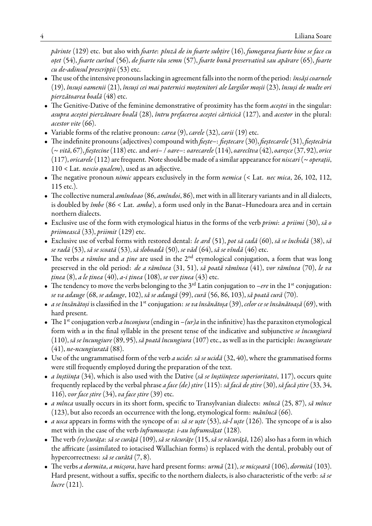*părinte* (129) etc. but also with *foarte*: *pînză de in foarte subțire* (16), *fumegarea foarte bine se face cu oțet* (54), *foarte curînd* (56), *de foarte rău semn* (57), *foarte bună preservativă sau apărare* (65), *foarte cu de-adinsul prescripții* (53) etc.

- The use of the intensive pronouns lacking in agreementfalls into the norm of the period: *însăși coarnele* (19), *însuși oamenii* (21), *însuși cei mai puternici moștenitori ale largilor moșii* (23), *însuși de multe ori pierzătoarea boală* (48) etc.
- The Genitive-Dative of the feminine demonstrative of proximity has the form *aceștei* in the singular: *asupra aceștei pierzătoare boală* (28), *întru prefacerea aceștei cărticică* (127), and *acestor* in the plural: *acestor vite* (66).
- Variable forms of the relative pronoun: *carea* (9), *carele* (32), *carii* (19) etc.
- The indefinite pronouns (adjectives) compound with *fiește–*: *fieștecare*(30), *fieștecarele*(31), *fieștecăria* (~*vită*, 67), *fieștecine*(118) etc. and *ori–* / *oare–*: *oarecarele*(114), *oarecîtva* (42), *oareșce*(37, 92), *orice* (117), *oricarele*(112) are frequent. Note should be made of a similar appearance for *niscari*(~*operații*, 110 < Lat. *nescio qualem*), used as an adjective.
- The negative pronoun *nimic* appears exclusively in the form *nemica* (< Lat. *nec mica*, 26, 102, 112, 115 etc.).
- The collective numeral *amîndoao* (86, *amîndoi*, 86), met with in all literary variants and in all dialects, is doubled by *îmbe* (86 < Lat. *ambæ*), a form used only in the Banat–Hunedoara area and in certain northern dialects.
- Exclusive use of the form with etymological hiatus in the forms of the verb *primi*: *a priimi* (30), *să o priimească* (33), *priimit* (129) etc.
- Exclusive use of verbal forms with restored dental: *le ard* (51), *pot să cadă* (60), *să se închidă* (38), *să se radă* (53), *să se scoată* (53), *să sloboadă* (50), *se văd* (64), *să se vîndă* (46) etc.
- The verbs *a rămîne* and *a ține* are used in the 2<sup>nd</sup> etymological conjugation, a form that was long preserved in the old period: *de a rămînea* (31, 51), *să poată rămînea* (41), *vor rămînea* (70), *le va ținea* (8), *a le ținea* (40), *a-i ținea* (108), *se vor ținea* (43) etc.
- The tendency to move the verbs belonging to the 3<sup>rd</sup> Latin conjugation to *–ere* in the 1<sup>st</sup> conjugation: *se va adauge* (68, *se adauge*, 102), *să se adaugă* (99), *cură* (56, 86, 103), *să poată cură* (70).
- *a se însănătoși* is classified in the 1st conjugation: *se va însănătoșa* (39), *celor ce se însănătoașă* (69), with hard present.
- The 1<sup>st</sup> conjugation verb *a înconjura* (ending in  $-(ur)a$  in the infinitive) has the paraxiton etymological form with *u* in the final syllable in the present tense of the indicative and subjunctive *se încungiură* (110), *să se încungiure* (89, 95), *să poată încungiura* (107) etc., as well as in the participle: *încungiurate* (41), *ne-ncungiurată* (88).
- Use of the ungrammatised form of the verb *a ucide*: *să se ucidă* (32, 40), where the grammatised forms were still frequently employed during the preparation of the text.
- *a înștiința* (34), which is also used with the Dative (*să se înștiințeze superioritatei*, 117), occurs quite frequently replaced by the verbal phrase *a face (de) știre* (115): *să facă de știre* (30), *să facă știre* (33, 34, 116), *vor face știre* (34), *va face știre* (39) etc.
- *a mînca* usually occurs in its short form, specific to Transylvanian dialects: *mîncă* (25, 87), *să mînce* (123), but also records an occurrence with the long, etymological form: *mănîncă* (66).
- *a usca* appears in forms with the syncope of *u*: *să se uște* (53), *să-l uște* (126). The syncope of *u* is also met with in the case of the verb *înfrumuseța*: *i-au înfrumsățat* (128).
- The verb *(re)curăța*: *să se curăță* (109), *să se răcurățe* (115, *să se răcurăță*, 126) also has a form in which the affricate (assimilated to iotacised Wallachian forms) is replaced with the dental, probably out of hypercorrectness: *să se curătă* (7, 8).
- The verbs *a dormita*, *a micșora*, have hard present forms: *urmă* (21), *se micșoară* (106), *dormită* (103). Hard present, without a suffix, specific to the northern dialects, is also characteristic of the verb: *să se lucre* (121).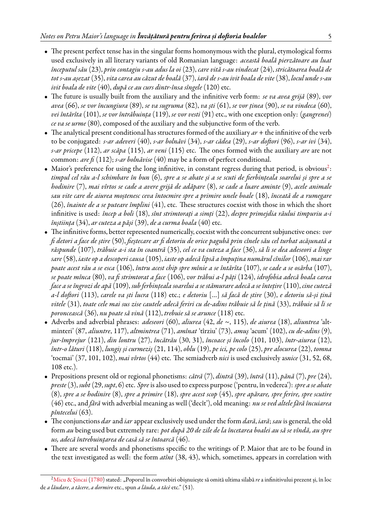- The present perfect tense has in the singular forms homonymous with the plural, etymological forms used exclusively in all literary variants of old Romanian language: *această boală pierzătoare au luat începutul său* (23), *prin contagiu s-au adus la oi* (23), *care vită s-au vindecat* (24), *stricătoarea boală de tot s-au așezat* (35), *vita carea au căzut de boală* (37), *iară de s-au ivit boala de vite* (38), *locul unde s-au ivit boala de vite* (40), *după ce au curs dintr-însa sîngele* (120) etc.
- The future is usually built from the auxiliary and the infinitive verb form: *se va avea grijă* (89), *vor avea* (66), *se vor încungiura* (89), *se va sugruma* (82), *va ști* (61), *se vor ținea* (90), *se va vindeca* (60), *vei întărîta* (101), *se vor întrăbuința* (119), *se vor vesti* (91) etc., with one exception only: (*gangrenei*) *ce va se urme* (80), composed of the auxiliary and the subjunctive form of the verb.
- The analytical present conditional has structures formed of the auxiliary *ar* + the infinitive of the verb to be conjugated: *s-ar adeveri* (40), *s-ar bolnăvi* (34), *s-ar cădea* (29), *s-ar doftori* (96), *s-ar ivi* (34), *s-ar pricepe* (112), *ar scăpa* (115), *ar veni* (115) etc. The ones formed with the auxiliary *are* are not common: *are fi* (112); *s-ar bolnăvise* (40) may be a form of perfect conditional.
- $\bullet$  Maior's preference for using the long infinitive, in constant regress during that period, is obvious<sup>[2](#page-4-0)</sup>: *timpul cel rău a-l schimbare în bun* (6), *spre a se abate și a se scuti de fierbințeala soarelui și spre a se hodinire* (7), *mai vîrtos se cade a avere grijă de adăpare* (8), *se cade a luare aminte* (9), *acele animale sau vite care de aiurea moștenesc ceva întocmire spre a primire unele boale* (18), *înceată de a rumegare* (26), *înainte de a se puteare împlini* (41), etc. These structures coexist with those in which the short infinitive is used: *încep a boli* (18), *sînt strimtorați a simți* (22), *despre primejdia răului timpuriu a-i înștiința* (34), *ar cuteza a păși* (39), *de a curma boala* (40) etc.
- The infinitive forms, better represented numerically, coexist with the concurrent subjunctive ones: *vor fi detori a face de știre* (50), *fieștecare ar fi detoriu de orice pagubă prin cînele său cel turbat acășunată a răspunde* (107), *trăbuie a-i sta în coantră* (35), *cel ce va cuteza a face* (36), *să li se dea adeseori a linge sare* (58), *iaste op a descoperi causa* (105), *iaste op adecă lipsă a împuțina numărul cînilor* (106), *mai rar poate acest rău a se esca* (106), *întru acest chip spre mînie a se întărîta* (107), *se cade a se osărba* (107), *se poate mînca* (80), *va fi strimtorat a face* (106), *vor trăbui a-l păți* (124), *idrofobia adecă boala carea face a se îngrozi de apă* (109), *sub ferbințeala soarelui a se stămurare adecă a se întețire* (110), *cine cuteză a-l doftori* (113), *carele va ști lucra* (118) etc.; *e detoriu* […] *să facă de știre* (30), *e detoriu să-și țină vitele* (31), *toate cele mai sus zise cautele adecă feriri cu de-adins trăbuie să le țină* (33), *trăbuie să li se poroncească* (36), *nu poate să vină* (112), *trebuie să se arunce* (118) etc.
- Adverbs and adverbial phrases: *adeseori* (60), *aliurea* (42, *de* ~, 115), *de aiurea* (18), *aliuntrea* 'altminteri' (87, *aliuntre*, 117), *altmintrea* (71), *amînat* 'tîrziu' (73), *amuș* 'acum' (102), *cu de-adins* (9), *jur-împrejur* (121), *din lontru* (27), *încătrău* (30, 31), *încoace și încolo* (101, 103), *într-aiurea* (12), *într-o lături* (118), *lungiș și curmeziș* (21, 114), *oblu* (19), *pe ici, pe colo* (25), *pre alocurea* (22), *tomna* 'tocmai' (37, 101, 102), *mai vîrtos* (44) etc. The semiadverb *nici* is used exclusively as*nice* (31, 52, 68, 108 etc.).
- Prepositions present old or regional phonetisms: *cătră* (7), *dintră* (39), *întră* (11), *pănă* (7), *pre* (24), *preste*(3), *subt* (29, *supt*, 6) etc. *Spre*is also used to express purpose ('pentru, în vederea'): *spre a se abate* (8), *spre a se hodinire* (8), *spre a primire* (18), *spre acest scop* (45), *spre apărare, spre ferire, spre scutire* (46) etc., and *fără* with adverbial meaning as well ('decît'), old meaning: *nu se ved altele fără încuiarea pîntecelui* (63).
- The conjunctions *dar* and *iar* appear exclusively used under the form *dară*, *iară*; *sau* is general, the old form *au* being used but extremely rare: *pot după 20 de zile de la încetarea boalei au să se vîndă, au spre us, adecă întrebuințarea de casă să se întoarcă* (46).
- There are several words and phonetisms specific to the writings of P. Maior that are to be found in the text investigated as well: the form *atînt* (38, 43), which, sometimes, appears in correlation with

<span id="page-4-0"></span><sup>&</sup>lt;sup>2</sup>[Micu & Șincai](#page-12-3) ([1780](#page-12-3)) stated: "Poporul în convorbiri obișnuiește să omită ultima silabă re a infinitivului prezent și, în loc de *a lăudare*, *a tăcere*, *a dormire* etc., spun *a lăuda*, *a tăcè* etc." (51).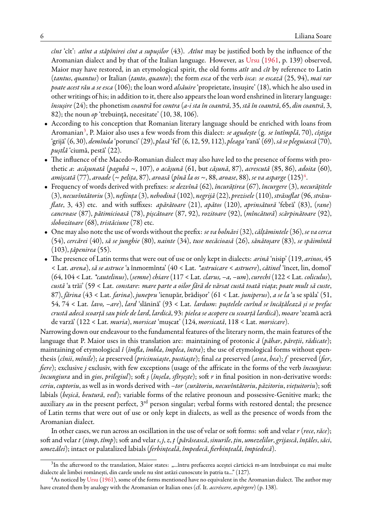*cînt* 'cît': *atînt a stăpînirei cînt a supușilor* (43). *Atînt* may be justified both by the influence of the Aromanian dialect and by that of the Italian language. However, as [Ursu](#page-12-1) ([1961](#page-12-1), p. 139) observed, Maior may have restored, in an etymological spirit, the old forms *atît* and *cît* by reference to Latin (*tantus*, *quantus*) or Italian (*tanto*, *quanto*); the form *esca* of the verb *isca*: *se escază* (25, 94), *mai rar poate acest rău a se esca* (106); the loan word *alsăuire* 'proprietate, însușire' (18), which he also used in other writings of his; in addition to it, there also appears the loan word enshrined in literary language: *însușire* (24); the phonetism *coantră* for *contra* (*a-i sta în coantră*, 35, *stă în coantră*, 65, *din coantră*, 3, 82); the noun *op* 'trebuință, necesitate' (10, 38, 106).

- According to his conception that Romanian literary language should be enriched with loans from Aromanian[3](#page-5-0) , P. Maior also uses a few words from this dialect: *se agudește* (g. *se întîmplă*, 70), *cîștiga* 'grijă' (6, 30), *demînda* 'porunci' (29), *plasă* 'fel' (6, 12, 59, 112), *pleaga* 'rană' (69), *să se pleguiască* (70), *puștlă* 'ciumă, pestă' (22).
- The influence of the Macedo-Romanian dialect may also have led to the presence of forms with prothetic *a*: *acășunată* (*pagubă* ~, 107), *o acășună* (61, but *cășună*, 87), *acrescută* (85, 86), *adoita* (60), *amișcată* (77), *aroade* (~ *pelița*, 87), *aroasă* (*pînă la os* ~, 88, *aroase*, 88), *se va asparge* (125)[4](#page-5-1) .
- Frequency of words derived with prefixes: *se dezvînă* (62), *încurățirea* (67), *încurgere* (3), *necurățitele* (3), *necuvîntătoriu* (3), *neființa* (3), *nehodină* (102), *negrijă* (22), *prezisele* (110), *străsuflat* (96, *străsuflate*, 3, 43) etc. and with suffixes: *apărătoare* (21), *apătos* (120), *aprinsătură* 'febră' (83), (*rane*) *cancroase* (87), *pătimicioasă* (78), *pișcătoare* (87, 92), *rozitoare* (92), (*mîncătură*) *scărpinătoare* (92), *slobozitoare* (68), *tristăciune* (78) etc.
- One may also note the use of words without the prefix: *se va bolnăvi*(32), *călțămintele*(36), *se va cerca* (54), *cercărei* (40), *să se junghie* (80), *nainte* (34), *tuse necăcioasă* (26), *sănătoșare* (83), *se spăimîntă* (103), *țăpenirea* (55).
- The presence of Latin terms that were out of use or only kept in dialects: *arină* 'nisip' (119, *arinos*, 45 < Lat. *arena*), *să se astruce* 'a înmormînta' (40 < Lat. *\*astruicare* < *astruere*), *cătinel* 'încet, lin, domol' (64, 104 < Lat. *\*cautelinus*), (*semne*)*chiare*(117 < Lat. *clarus, –a, –um*), *curechi*(122 < Lat. *coliculus*), *custă* 'a trăi' (59 < Lat. *constare*: *mare parte a oilor fără de vărsat custă toată viața*; *poate mult să custe*, 87), *fărina* (43 < Lat. *farina*), *junepru* 'ienupăr, brădișor' (61 < Lat. *juniperus*), *a se la* 'a se spăla' (51, 54, 74 < Lat. *lavo, –are*), *lard* 'slănină' (93 < Lat. *lardum*: *puștelele curînd se încățălează și se prefac crustă adecă scoarță sau piele de lard*, *lardică*, 93: *pielea se acopere cu scoarță lardică*), *moare* 'zeamă acră de varză' (122 < Lat. *muria*), *morsicat* 'mușcat' (124, *morsicată*, 118 < Lat. *morsicare*).

Narrowing down our endeavour to the fundamental features of the literary norm, the main features of the language that P. Maior uses in this translation are: maintaining of protonic *ă* (*păhar*, *păreții*, *rădicate*); maintaining of etymological *î* (*îmfla*, *îmbla*, *împlea*, *întra*); the use of etymological forms without epenthesis (*cînii*, *mînile*); *ia* preserved (*pricinuiaște*, *pustiaște*); final *ea* preserved (*avea*, *bea*); *f* preserved (*fier*, *fiere*); exclusive *j* exclusiv, with few exceptions (usage of the affricate in the forms of the verb *încunjura*: *încungiura* and in *gios*, *prilegiul*); soft *ș* (*înșela*, *sfîrșește*); soft *r* in final position in non-derivative words: *ceriu*, *cuptoriu*, as well as in words derived with *–tor* (*curătoriu*, *necuvîntătoriu*, *păzitoriu*, *viețuitoriu*); soft labials (*beșică*, *beutură*, *ved*); variable forms of the relative pronoun and possessive-Genitive mark; the auxiliary *au* in the present perfect, 3<sup>rd</sup> person singular; verbal forms with restored dental; the presence of Latin terms that were out of use or only kept in dialects, as well as the presence of words from the Aromanian dialect.

In other cases, we run across an oscillation in the use of velar or soft forms: soft and velar *r* (*rece*, *răce*); soft and velar *t* (*timp*, *tîmp*); soft and velar *s*, *j*, *z*, *ț* (*părăsească*, *sinurile*, *țin*, *umezelilor*,*grijască*, *înțăles*, *săci*, *umezălei*); intact or palatalized labials (*ferbințeală*, *împedecă*, *fierbințeală*, *împiedecă*).

<span id="page-5-0"></span> $^3\rm{In}$  the afterword to the translation, Maior states: "…întru prefacerea aceștei cărticică m-am întrebuințat cu mai multe dialecte ale limbei românești, din carele unele nu sînt astăzi cunoscute în patria ta..." (127).

<span id="page-5-1"></span><sup>4</sup>As noticed by [Ursu](#page-12-1) ([1961](#page-12-1)), some of the forms mentioned have no equivalent in the Aromanian dialect. The author may have created them by analogy with the Aromanian or Italian ones (cf. It. *accréscere*, *aspèrgere*) (p. 138).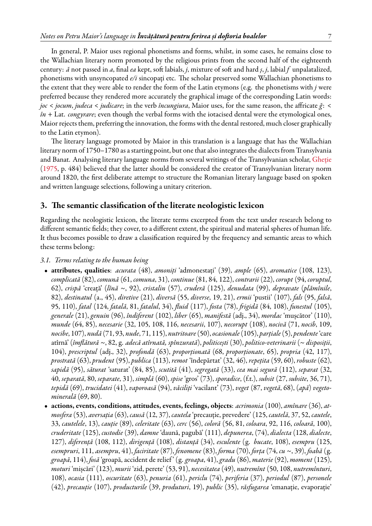In general, P. Maior uses regional phonetisms and forms, whilst, in some cases, he remains close to the Wallachian literary norm promoted by the religious prints from the second half of the eighteenth century: *ă* not passed in *a*, final *ea* kept, soft labials, *j*, mixture of soft and hard *ș*, *j*, labial *f* unpalatalized, phonetisms with unsyncopated *e/i* sincopați etc. The scholar preserved some Wallachian phonetisms to the extent that they were able to render the form of the Latin etymons (e.g. the phonetisms with *j* were preferred because they rendered more accurately the graphical image of the corresponding Latin words: *joc* < *jocum*, *judeca* < *judicare*; in the verb *încungiura*, Maior uses, for the same reason, the affricate *ğ*: < *în* + Lat. *congyrare*; even though the verbal forms with the iotacised dental were the etymological ones, Maior rejects them, preferring the innovation, the forms with the dental restored, much closer graphically to the Latin etymon).

The literary language promoted by Maior in this translation is a language that has the Wallachian literary norm of 1750–1780 as a starting point, but one that also integrates the dialects from Transylvania and Banat. Analysing literary language norms from several writings of the Transylvanian scholar, [Gheție](#page-12-4) ([1975,](#page-12-4) p. 484) believed that the latter should be considered the creator of Transylvanian literary norm around 1820, the first deliberate attempt to structure the Romanian literary language based on spoken and written language selections, following a unitary criterion.

# **3. The semantic classification of the literate neologistic lexicon**

Regarding the neologistic lexicon, the literate terms excerpted from the text under research belong to different semantic fields; they cover, to a different extent, the spiritual and material spheres of human life. It thus becomes possible to draw a classification required by the frequency and semantic areas to which these terms belong:

#### *3.1. Terms relating to the human being*

- **attributes, qualities**: *acurata* (48), *amoniți* 'admonestați' (39), *ample* (65), *aromatice* (108, 123), *complicată* (82), *comună* (61, *comuna*, 31), *continue* (81, 84, 122), *contrarii* (22), *corupt* (94, *coruptul*, 62), *crispă* 'creață' (*lînă* ~, 92), *cristalin* (57), *cruderă* (125), *denudata* (99), *depravate* (*plămînile*, 82), *destinatul* (a., 45), *diretive* (21), *diversă* (55, *diverse*, 19, 21), *ermii* 'pustii' (107), *fals* (95, *falsă*, 95, 110), *fatal* (124, *fatală*, 81, *fatalul*, 34), *fluid* (117), *fosta* (78), *frigidă* (84, 108), *funestul* (105), *generale* (21), *genuin* (96), *îndiferent* (102), *liber* (65), *manifestă* (adj., 34), *mordac* 'mușcător' (110), *munde* (64, 85), *necesarie* (32, 105, 108, 116, *necesarii*, 107), *necorupt* (108), *nocivă* (71, *nocib*, 109, *nocibe*, 107), *nudă* (71, 93, *nude*, 71, 115), *nutritoare*(50), *ocasionale*(105), *parțiale*(5), *pendente*'care atîrnă' (*îmflătură* ~, 82, g. *adecă atîrnată, spînzurată*), *politicești* (30), *politico-veterinarii* (~ *disposiții*, 104), *prescriptul* (adj., 32), *profondă* (63), *proporționată* (68, *proporționate*, 65), *propria* (42, 117), *prostrată* (63), *prudent* (95), *publica* (113), *remot* 'îndepărtat' (32, 46), *repețita* (59, 60), *robuste* (62), *sapidă* (95), *săturat* 'saturat' (84, 85), *scutită* (41), *segregată* (33), *cea mai segură* (112), *separat* (32, 40, *separată*, 80, *separate*, 31), *simplă* (60), *spise* 'gros' (73), *sporadice*, (f.t.), *subsit* (27, *subsite*, 36, 71), *tepidă* (69), *trucidatei* (41), *vaporoasă* (94), *văciliți* 'vacilant' (73), *veget* (87, *vegetă*, 68), (*apă*) *vegetominerală* (69, 80).
- **actions, events, conditions, attitudes, events, feelings, objects**: *acrimonia* (100), *amînare* (36), *atmosfera* (53), *aversația* (63), *causă* (12, 37), *cautela* 'precauție, prevedere' (125, *cautelă*, 37, 52, *cautele*, 33, *cautelele*, 13), *cauție* (89), *celeritate* (63), *cerc* (56), *coloră* (56, 81, *coloara*, 92, 116, *coloară*, 100), *cruderitate* (125), *custodie* (39), *damne* 'daună, pagubă' (111), *depunerea*, (74), *dialecta* (128, *dialecte*, 127), *diferență* (108, 112), *dirigență* (108), *distanță* (34), *esculente* (g. *bucate*, 108), *esempru* (125, *esempruri*, 111, *asempru*, 41), *faciritate* (87), *fenomene* (83), *forma* (70), *forța* (74, *cu* ~, 39), *foabă* (g. *groapă*, 114), *fosă* 'groapă, accident de relief ' (g. *groapa*, 41),*gradu* (86), *materie* (92), *moment* (125), *moturi* 'mișcări' (123), *murii* 'zid, perete' (53, 91), *necesitatea* (49), *nutremînt* (50, 108, *nutremînturi*, 108), *ocasia* (111), *oscuritate* (63), *penuria* (61), *periclu* (74), *periferia* (37), *periodul* (87), *personele* (42), *precauție* (107), *producturile* (39, *produturi*, 19), *public* (35), *răsfugarea* 'emanație, evaporație'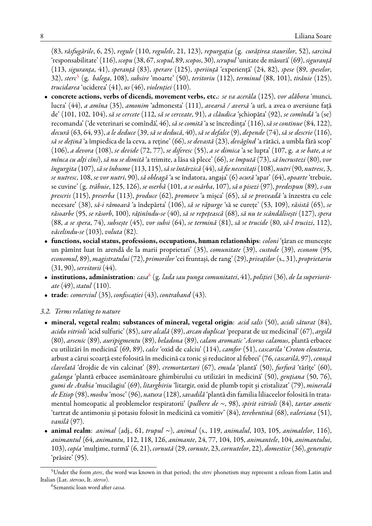(83, *răsfugările*, 6, 25), *regule* (110, *regulele*, 21, 123), *repurgația* (g. *curățirea staurilor*, 52), *sarcină* 'responsabilitate' (116), *scopu* (38, 67, *scopul*, 89, *scopos*, 30), *scrupul* 'unitate de măsură' (69), *siguranță* (113, *siguranța*, 41), *speranță* (83), *sperare* (125), *speriință* 'experiență' (24, 82), *spese* (89, *speselor*, 32), *sterc*[5](#page-7-0) (g. *balega*, 108), *subsire* 'moarte' (50), *teritoriu* (112), *terminul* (88, 101), *tirănie* (125), *trucidarea* 'uciderea' (41), *us* (46), *violenției* (110).

- **concrete actions, verbs of dicendi, movement verbs, etc.**: *se va acerăla* (125), *vor alăbora* 'munci, lucra' (44), *a amîna* (35), *amonim* 'admonesta' (111), *avearsă / aversă* 'a urî, a avea o aversiune față de' (101, 102, 104), *să se cercete* (112, *să se cerceate*, 91), *a clăudica* 'șchiopăta' (92), *se comîndă* 'a (se) recomanda' ('de veterinari se comîndă', 46), *să se comită* 'a se încredința' (116), *să se continue* (84, 122), *decură* (63, 64, 93), *a le deduce* (39, *să se deducă*, 40), *să se defalce* (9), *depende* (74), *să se descrie* (116), *să se dețină* 'a împiedica de la ceva, a reține' (66), *se devastă* (23), *devăgînd* 'a rătăci, a umbla fără scop' (106), *a devora* (108), *se devide* (72, 77), *se diferesc* (55), *a se dimica* 'a se lupta' (107, g. *a se bate*, *a se mînca cu alți cîni*), *să nu se dimită* 'a trimite, a lăsa să plece' (66), *se împută* (73), *să încrustezi* (80), *vor îngurgita* (107), *să se înhume*(113, 115), *să se întărzică* (44), *să fie necesitați*(108), *nutri*(90, *nutresc*, 3, *se nutresc*, 108, *se vor nutri*, 90), *să obleagă* 'a se îndatora, angaja' (6) *ocură* 'apar' (64), *opoarte* 'trebuie, se cuvine' (g. *trăbuie*, 125, 126), *se oserbă* (101, *a se osărba*, 107), *să o pisezi* (97), *predespun* (89), *s-au prescris* (115), *preserba* (113), *produce* (62), *promove* 'a mișca' (65), *să se proveadă* 'a înzestra cu cele necesare' (38), *să-i rămoavă* 'a îndepărta' (106), *să se răpurge* 'să se curețe' (53, 109), *răsistă* (65), *se răsoarbe* (95, *se răsorb*, 100), *răținîndu-se* (40), *să se repețească* (68), *să nu te scăndălisești* (127), *spera* (88, *a se spera*, 74), *subsește* (45), *vor subsi* (64), *se termină* (81), *să se trucide* (80, *să-l trucizi*, 112), *văcelindu-se* (103), *voluta* (82).
- **functions, social status, professions, occupations, human relationships**: *coloni* 'țăran ce muncește un pămînt luat în arendă de la marii proprietari' (35), *comunitate* (39), *custode* (39), *econom* (95, *economul*, 89), *magistratului*(72), *primorilor* 'cei fruntași, de rang' (29), *privaților* (s., 31), *proprietariu* (31, 90), *servitorii* (44).
- **institutions, administration**: *casa*[6](#page-7-1) (g. *lada sau punga comunitatei*, 41), *poliției* (36), *de la superioritate* (49), *statul* (110).
- **trade**: *comerciul* (35), *confiscației* (43), *contraband* (43).

# *3.2. Terms relating to nature*

- **mineral, vegetal realm; substances of mineral, vegetal origin**: *acid salis* (50), *acidi săturat* (84), *acidu vitrioli* 'acid sulfuric' (85), *sare alcală* (89), *arcan duplicat* 'preparat de uz medicinal' (67), *argilă* (80), *arsenic* (89), *auripigmentu* (89), *beladona* (89), *calam aromatic* '*Acorus calamus*, plantă erbacee cu utilizări în medicină' (69, 89), *calce* 'oxid de calciu' (114), *camfor* (51), *cascarila* '*Croton eleuteria*, arbust a cărui scoarță este folosită în medicină ca tonic și reducător al febrei' (76, *cascarilă*, 97), *cenușă clavelată* 'drojdie de vin calcinat' (89), *cremortartari* (67), *emula* 'plantă' (50), *furfură* 'tărîțe' (60), *galanga* 'plantă erbacee asemănătoare ghimbirului cu utilizări în medicină' (50), *gențiana* (50, 76), *gumi de Arabia* 'mucilagiu' (69), *litarghiriu* 'litargir, oxid de plumb topit și cristalizat' (79), *minerală de Etiop* (98), *moshu* 'mosc' (96), *natura* (128), *savadilă* 'plantă din familia liliaceelor folosită în tratamentul homeopatic al problemelor respiratorii' (*pulbere de* ~, 98), *spirit vitrioli* (84), *tartar ametic* 'tartrat de antimoniu și potasiu folosit în medicină ca vomitiv' (84), *terebentină* (68), *valeriana* (51), *vanilă* (97).
- **animal realm**: *animal* (adj., 61, *trupul* ~), *animal* (s., 119, *animalul*, 103, 105, *animalelor*, 116), *animantul* (64, *animantu*, 112, 118, 126, *animante*, 24, 77, 104, 105, *animantele*, 104, *animantului*, 103), *copía* 'mulțime, turmă' (6, 21), *cornută* (29, *cornute*, 23, *cornutelor*, 22), *domestice* (36), *generație* 'prăsire' (95).

<span id="page-7-0"></span><sup>5</sup>Under the form *șterc*, the word was known in that period; the *sterc* phonetism may represent a reloan from Latin and Italian (Lat. *stercus*, It. *sterco*).

<span id="page-7-1"></span><sup>6</sup> Semantic loan word after *cassa*.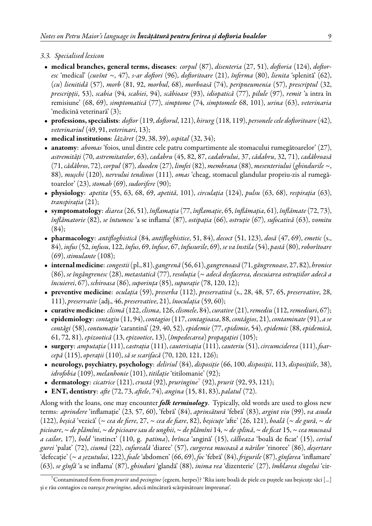#### *3.3. Specialised lexicon*

- **medical branches, general terms, diseases**: *corpul* (87), *disenteria* (27, 51), *doftoria* (124), *doftoresc* 'medical' (*cuvînt* ~, 47), *s-ar doftori* (96), *doftoritoare* (21), *înferma* (80), *lienita* 'splenită' (62), (*cu*) *lienitidă* (57), *morb* (81, 92, *morbul*, 68), *morboasă* (74), *peripneumenia* (57), *prescriptul* (32, *prescripții*, 53), *scabia* (94, *scabiei*, 94), *scăbioase* (93), *idiopatică* (77), *pilule* (97), *remit* 'a intra în remisiune' (68, 69), *simptomatică* (77), *simptome* (74, *simptomele* 68, 101), *urina* (63), *veterinaria* 'medicină veterinară' (3);
- **professions, specialists**: *doftor* (119, *doftorul*, 121), *hirurg* (118, 119), *personele cele doftoritoare* (42), *veterinariul* (49, 91, *veterinari*, 13);
- **medical institutions**: *lăzăret* (29, 38, 39), *ospital* (32, 34);
- **anatomy**: *abomas* 'foios, unul dintre cele patru compartimente ale stomacului rumegătoarelor' (27), *astremități* (70, *astremitatelor*, 63), *cadabru* (45, 82, 87, *cadabrului*, 37, *cădabru*, 32, 71), *cadăbroasă* (71, *cădăbros*, 72), *corpul* (87), *duoden* (27), *limfei* (82), *membrana* (88), *mesenteriului* (*ghindurile* ~, 88), *mușchi* (120), *nervului tendinos* (111), *omas* 'cheag, stomacul glandular propriu-zis al rumegătoarelor' (23), *stomah* (69), *sudorifere* (90);
- **physiology**: *apetita* (55, 63, 68, 69, *apetită*, 101), *circulația* (124), *pulsu* (63, 68), *respirația* (63), *transpirația* (21);
- **symptomatology**: *diarea* (26, 51), *înflamația* (77, *înflamație*, 65, *înflămația*, 61), *înflămate* (72, 73), *înflămatorie* (82), *se întumesc* 'a se inflama' (87), *ostipația* (66), *ostruție* (67), *sufocativă* (63), *vomitu*  $(84);$
- **pharmacology**: *antifloghistică* (84, *antifloghistice*, 51, 84), *decoct* (51, 123), *dosă* (47, 69), *emetic* (s., 84), *infus* (52, *infusu*, 122, *înfus*, 69, *înfuse*, 67, *înfusurile*, 69), *se va înstila* (54), *pastă* (80), *roborîtoare* (69), *stimulante* (108);
- **internalmedicine**: *congestii*(pl., 81),*gangrenă* (56, 61),*gangrenoasă* (71,*găngrenoase*, 27, 82), *hronice* (86), *se îngăngrenesc* (28), *metastatică* (77), *resoluția* (~ *adecă desfacerea, descuiarea ostruțiilor adecă a încuierei*, 67), *schiroasa* (86), *suporința* (85), *supurație* (78, 120, 12);
- **preventive medicine**: *oculația* (59), *preserba* (112), *preservativă* (s., 28, 48, 57, 65, *preservative*, 28, 111), *preservativ* (adj., 46, *preservative*, 21), *înoculația* (59, 60);
- **curative medicine**: *clismă* (122, *clisma*, 126, *clismele*, 84), *curative*(21),*remediu* (112,*remediuri*, 67);
- **epidemiology**: *contagiu* (11, 94), *contagios*(117, *contagioasa*, 88, *contăgios*, 21), *contaminate* (91), *a se contăgi* (58), *contumație* 'carantină' (29, 40, 52), *epidemie* (77, *epidimie*, 54), *epidemic* (88, *epidemică*, 61, 72, 81), *epizootică* (13, *epizootice*, 13), (*împedecarea*) *propagației* (105);
- **surgery**: *amputația* (111), *castrația* (111), *cauterisația* (111), *cauteriu* (51), *circumciderea* (111), *foarcepă* (115), *operații* (110), *să se scarifacă* (70, 120, 121, 126);
- **neurology, psychiatry, psychology**: *deliriul* (84), *disposiție* (66, 100, *disposiții*, 113, *disposițiile*, 38), *idrofobia* (109), *melanhonie* (101), *titilație* 'titilomanie' (92);
- **dermatology**: *cicatrice* (121), *crustă* (92), *pruringine*[7](#page-8-0) (92), *prurit* (92, 93, 121);
- **ENT, dentistry**: *afte* (72, 73, *aftele*, 74), *angina* (15, 81, 83), *palatul* (72).

Along with the loans, one may encounter *folk terminology*. Typically, old words are used to gloss new terms: *aprindere* 'inflamație' (23, 57, 60), 'febră' (84), *aprinsătură* 'febră' (83), *argint viu* (99), *va asuda* (122), *beșică* 'vezică' (~ *cea de fiere*, 27, ~ *cea de fiare*, 82), *beșicuțe* 'afte' (26, 121), *boală* (~ *de gură*, ~ *de picioare*, ~ *de plămîni*, ~ *de picioare sau de unghii*, ~ *de plămîni* 14, ~ *de splină*, ~ *de ficat* 15, ~ *cea mucoasă a cailor*, 17), *bold* 'instinct' (110, g. *patima*), *brînca* 'angină' (15), *călbeaza* 'boală de ficat' (15), *ceriul gurei* 'palat' (72), *ciumă* (22), *cufureală* 'diaree' (57), *curgerea mucoasă a nărilor* 'rinoree' (86), *deșertare* 'defecație' (~ *a șezutului*, 122), *foale* 'abdomen' (66, 69), *foc* 'febră' (84), *frigurile* (87), *gînfarea* 'inflamare' (63), *se gînfă* 'a se inflama' (87), *ghinduri* 'glandă' (88), *inima rea* 'dizenterie' (27), *îmblarea sîngelui* 'cir-

<span id="page-8-0"></span><sup>7</sup>Contaminated form from *prurit* and *pecingine* (egzem, herpes)? 'Rîia iaste boală de piele cu puștele sau beșicuțe săci [...] și e rău contagios cu oareșce *pruringine*, adecă mîncătură scărpinătoare împreunat'.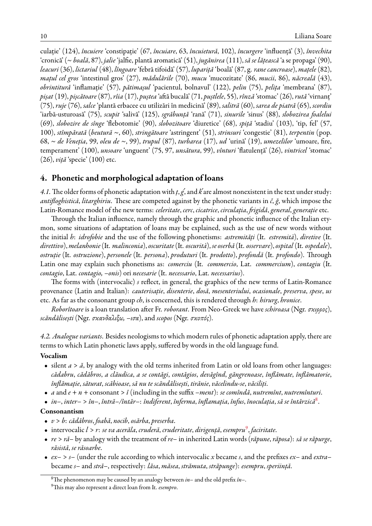culație' (124), *încuiere* 'constipație' (67, *încuiare*, 63, *încuietură*, 102), *încurgere* 'influență' (3), *învechita* 'cronică' (~ *boală*, 87), *jalie* 'jalfie, plantă aromatică' (51), *jugănirea* (111), *să se lățească* 'a se propaga' (90), *leacuri* (36), *lictariul* (48), *lîngoare* 'febră tifoidă' (57), *lupariță* 'boală' (87, g. *rane cancroase*), *mațele* (82), *mațul cel gros* 'intestinul gros' (27), *mădulările* (70), *mucu* 'mucozitate' (86, *mucii*, 86), *năcreală* (43), *obrintitură* 'inflamație' (57), *pătimașul* 'pacientul, bolnavul' (122), *pelin* (75), *pelița* 'membrana' (87), *pișat* (19), *pișcătoare* (87), *rîia* (17), *puștea* 'aftă bucală' (71, *puștlele*, 55), *rînză* 'stomac' (26), *rută* 'virnanț' (75), *ruje* (76), *salce* 'plantă erbacee cu utilizări în medicină' (89), *salitră* (60), *sarea de piatră* (65), *scordiu* 'iarbă-usturoasă' (75), *scupit* 'salivă' (125), *sgrăbunță* 'rană' (71), *sinurile* 'sinus' (88), *slobozirea foalelui* (69), *slobozire de sînge* 'flebotomie' (90), *slobozitoare* 'diuretice' (68), *spiță* 'stadiu' (103), 'tip, fel' (57, 100), *stîmpărată* (*beutură* ~, 60), *stringătoare* 'astringent' (51), *strinsuri* 'congestie' (81), *terpentin* (pop. 68, ~ *de Veneția*, 99, *oleu de* ~, 99), *trupul* (87), *turbarea* (17), *ud* 'urină' (19), *umezelilor* 'umoare, fire, temperament' (100), *unsoare* 'unguent' (75, 97, *unsătura*, 99), *vînturi* 'flatulență' (26), *vintricel* 'stomac' (26), *viță* 'specie' (100) etc.

# **4. Phonetic and morphological adaptation of loans**

4.1. The older forms of phonetic adaptation with  $t, g'$ , and  $k'$  are almost nonexistent in the text under study: *antifloghistică*, *litarghiriu*. These are competed against by the phonetic variants in *č*, *ğ*, which impose the Latin-Romance model of the new terms: *celeritate*, *cerc*, *cicatrice*, *circulația*, *frigidă*, *general*, *generație* etc.

Through the Italian influence, namely through the graphic and phonetic influence of the Italian etymon, some situations of adaptation of loans may be explained, such as the use of new words without the initial *h*: *idrofobie* and the use of the following phonetisms: *astremități* (It. *estremità*), *diretive* (It. *direttivo*), *melanhonie*(It. *malinconia*), *oscuritate*(It. *oscurità*), *se oserbă* (It. *osservare*), *ospital* (It. *ospedale*), *ostruție* (It. *ostruzione*), *personele* (It. *persona*), *produturi* (It. *prodotto*), *profondă* (It. *profondo*). Through Latin one may explain such phonetisms as: *comerciu* (It. *commercio*, Lat. *commercium*), *contagiu* (It. *contagio*, Lat. *contagio, –onis*) ori *necesarie* (It. *necessario*, Lat. *necessarius*).

The forms with (intervocalic) *s* reflect, in general, the graphics of the new terms of Latin-Romance provenance (Latin and Italian): *cauterisație*, *disenterie*, *dosă*, *mesenteriului*, *ocasionale*, *preserva*, *spese*, *us* etc. As far as the consonant group *ch*, is concerned, this is rendered through *h*: *hirurg*, *hronice*.

*Roborîtoare* is a loan translation after Fr. *roborant*. From Neo-Greek we have *schiroasa* (Ngr. *σκιρρος*), *scăndălisești* (Ngr. *σκανδαλιξω, –ισα*), and *scopos* (Ngr. *σκοπός*).

*4.2. Analogue variants*. Besides neologisms to which modern rules of phonetic adaptation apply, there are terms to which Latin phonetic laws apply, suffered by words in the old language fund.

#### **Vocalism**

- silent *a* > *ă*, by analogy with the old terms inherited from Latin or old loans from other languages: *cădabru*, *cădăbros*, *a clăudica*, *a se contăgi*, *contăgios*, *devăgînd*, *găngrenoase*, *înflămate*, *înflămatorie*, *înflămație*, *săturat*, *scăbioase*, *să nu te scăndălisești*, *tirănie*, *văcelindu-se*, *văciliți*.
- *a* and *e* + *n* + consonant > *î* (including in the suffix *–ment*): *se comîndă*, *nutremînt*, *nutremînturi*.
- *in–*, *inter–* > *în–*, *întră–/întăr–*: *îndiferent*, *înferma*, *înflamația*, *înfus*, *înoculația*, *să se întărzică*[8](#page-9-0) .

#### **Consonantism**

- *v* > *b*: *cădăbros*, *foabă*, *nocib*, *osărba*, *preserba*.
- intervocalic *l* > *r*: *se va acerăla*, *cruderă*, *cruderitate*, *dirigență*, *esempru*[9](#page-9-1) , *faciritate*.
- *re* > *ră–* by analogy with the treatment of *re–* in inherited Latin words (*răpune*, *răposa*): *să se răpurge*, *răsistă*, *se răsoarbe*.
- *ex–* > *s–* (under the rule according to which intervocalic *x* became *s*, and the prefixes *ex–* and *extra–* became *s–* and *stră–*, respectively: *lăsa*, *măsea*, *strămuta*, *străpunge*): *esempru*, *speriință*.

<span id="page-9-0"></span><sup>8</sup>The phenomenon may be caused by an analogy between *in–* and the old prefix *în–*.

<span id="page-9-1"></span><sup>9</sup>This may also represent a direct loan from It. *esempro*.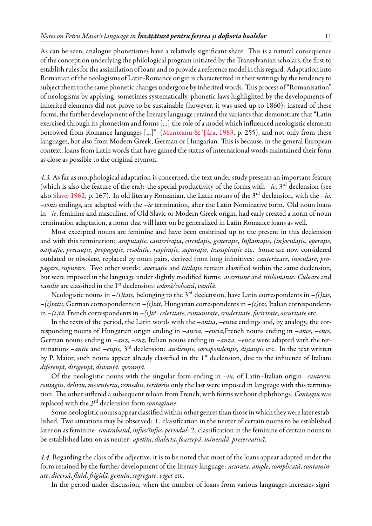As can be seen, analogue phonetismes have a relatively significant share. This is a natural consequence of the conception underlying the philological program initiated by the Transylvanian scholars, the first to establish rulesfor the assimilation of loans and to provide a reference model in this regard. Adaptation into Romanian of the neologisms of Latin-Romance origin is characterized in their writings by the tendency to subject them to the same phonetic changes undergone by inherited words. This process of "Romanisation" of neologisms by applying, sometimes systematically, phonetic laws highlighted by the developments of inherited elements did not prove to be sustainable (however, it was used up to 1860); instead of these forms, the further development of the literary language retained the variants that demonstrate that "Latin exercised through its phonetism and forms [...] the role of a model which influenced neologistic elements borrowed from Romance languages [...]"([Munteanu & Țâra,](#page-12-5) [1983,](#page-12-5) p. 255), and not only from these languages, but also from Modern Greek, German or Hungarian. This is because, in the general European context, loans from Latin words that have gained the status of international words maintained their form as close as possible to the original etymon.

*4.3.* As far as morphological adaptation is concerned, the text under study presents an important feature (which is also the feature of the era): the special productivity of the forms with  $-i$ e,  $3^{rd}$  declension (see also [Slave](#page-12-6), [1962](#page-12-6), p. 167). In old literary Romanian, the Latin nouns of the 3rd declension, with the *–io, –ionis* endings, are adapted with the *–ie* termination, after the Latin Nominative form. Old noun loans in *–ie*, feminine and masculine, of Old Slavic or Modern Greek origin, had early created a norm of noun termination adaptation, a norm that will later on be generalized in Latin Romance loans as well.

Most excerpted nouns are feminine and have been enshrined up to the present in this declension and with this termination: *amputație*, *cauterisația*, *circulație*, *generație*, *înflamație*, *(în)oculație*, *operație*, *ostipație*, *precauție*, *propagație*, *resoluție*, *respirație*, *supurație*, *transpirație* etc. Some are now considered outdated or obsolete, replaced by noun pairs, derived from long infinitives: *cauterizare*, *inoculare*, *propagare*, *supurare*. Two other words: *aversație* and *titilație* remain classified within the same declension, but were imposed in the language under slightly modified forms: *aversiune* and *titilomanie*. *Culoare* and *vanilie* are classified in the 1st declension: *coloră/coloară*, *vanilă*.

Neologistic nouns in *–(i)tate*, belonging to the 3rd declension, have Latin correspondents in *–(i)tas, –(i)tatis*, German correspondents in *–(i)tät*, Hungarian correspondents in *–(i)tas*, Italian correspondents in *–(i)tá*, French correspondents in *–(i)té*: *celeritate*, *comunitate*, *cruderitate*, *faciritate*, *oscuritate* etc.

In the texts of the period, the Latin words with the *–antia*, *–entia* endings and, by analogy, the corresponding nouns of Hungarian origin ending in *–ancia*, *–encia*,French nouns ending in *–ance*, *–ence*, German nouns ending in *–anz*, *–enz*, Italian nouns ending in *–anza*, *–enza* were adapted with the terminations *–anție* and *–enție*, 3rd declension: *audienție*, *corespondenție*, *diștanție* etc. In the text written by P. Maior, such nouns appear already classified in the 1<sup>st</sup> declension, due to the influence of Italian: *diferență*, *dirigență*, *distanță*, *speranță*.

Of the neologistic nouns with the singular form ending in *–iu*, of Latin–Italian origin: *cauteriu*, *contagiu*, *deliriu*, *mesenteriu*, *remediu*, *teritoriu* only the last were imposed in language with this termination. The other suffered a subsequent reloan from French, with forms without diphthongs. *Contagiu* was replaced with the 3rd declension form *contagiune*.

Some neologistic nouns appear classified within other genres than those in which they were later established. Two situations may be observed: 1. classification in the neuter of certain nouns to be established later on as feminine: *contraband*, *infus/înfus*, *periodul*; 2. classification in the feminine of certain nouns to be established later on as neuter: *apetita*, *dialecta*, *foarcepă*, *minerală*, *preservativă*.

*4.4.* Regarding the class of the adjective, it is to be noted that most of the loans appear adapted under the form retained by the further development of the literary language: *acurata*, *ample*, *complicată*, *contaminate*, *diversă*, *fluid*, *frigidă*, *genuin*, *segregate*, *veget* etc.

In the period under discussion, when the number of loans from various languages increases signi-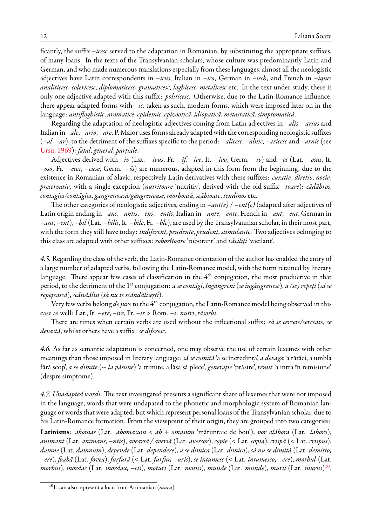ficantly, the suffix *–icesc* served to the adaptation in Romanian, by substituting the appropriate suffixes, of many loans. In the texts of the Transylvanian scholars, whose culture was predominantly Latin and German, and who made numerous translations especially from these languages, almost all the neologistic adjectives have Latin correspondents in *–icus*, Italian in *–ico*, German in *–isch*, and French in *–ique*: *analiticesc*, *colericesc*, *diplomaticesc*, *gramaticesc*, *loghicesc*, *metalicesc* etc. In the text under study, there is only one adjective adapted with this suffix: *politicesc*. Otherwise, due to the Latin-Romance influence, there appear adapted forms with *–ic*, taken as such, modern forms, which were imposed later on in the language: *antifloghistic*, *aromatice*, *epidemic*, *epizootică*, *idiopatică*, *metastatică*, *simptomatică*.

Regarding the adaptation of neologistic adjectives coming from Latin adjectives in *–alis*, *–arius* and Italian in *–ale*, *–ario*, *–are*, P. Maior uses forms already adapted with the corresponding neologistic suffixes (*–al*, *–ar*), to the detriment of the suffixes specific to the period: *–alicesc*, *–alnic*, *–aricesc* and *–arnic* (see [Ursu,](#page-12-7) [1969\)](#page-12-7): *fatal*, *general*, *parțiale*.

Adjectives derived with *–iv* (Lat. *–ivus*, Fr. *–if*, *–ive*, It. *–ivo*, Germ. *–iv*) and *–os* (Lat. *–osus*, It. *–oso*, Fr. *–eux*, *–euse*, Germ. *–ös*) are numerous, adapted in this form from the beginning, due to the existence in Romanian of Slavic, respectively Latin derivatives with these suffixes: *curativ*, *diretiv*, *nociv*, *preservativ*, with a single exception (*nutritoare* 'nutritiv', derived with the old suffix *–toare*); *cădăbros*, *contagios/contăgios*, *gangrenoasă/găngrenoase*, *morboasă*, *scăbioase*, *tendinos* etc.

The other categories of neologistic adjectives, ending in *–ant(e)* / *–ent(e)* (adapted after adjectives of Latin origin ending in *–ans*, *–antis*, *–ens*, *–entis*, Italian in *–ante*, *–ente*, French in *–ant*, *–ent*, German in *–ant*, *–ent*), *–bil* (Lat. *–bilis*, It. *–bile*, Fr. *–ble*), are used by the Transylvannian scholar, in their most part, with the form they still have today: *îndiferent*, *pendente*, *prudent*, *stimulante*. Two adjectives belonging to this class are adapted with other suffixes: *roborîtoare* 'roborant' and *văciliți* 'vacilant'.

*4.5.* Regarding the class of the verb, the Latin-Romance orientation of the author has enabled the entry of a large number of adapted verbs, following the Latin-Romance model, with the form retained by literary language. There appear few cases of classification in the 4<sup>th</sup> conjugation, the most productive in that period, to the detriment of the 1st conjugation: *a se contăgi*, *îngăngreni* (*se îngăngrenesc*), *a (se) repeți* (*să se repețească*), *scăndălisi* (*să nu te scăndălisești*).

Very few verbs belong *de jure* to the 4<sup>th</sup> conjugation, the Latin-Romance model being observed in this case as well: Lat., It. *–ere*, *–ire*, Fr. *–ir* > Rom. *–i*: *nutri*, *răsorbi*.

There are times when certain verbs are used without the inflectional suffix: *să se cercete/cerceate*, *se devastă*, whilst others have a suffix: *se diferesc*.

*4.6.* As far as semantic adaptation is concerned, one may observe the use of certain lexemes with other meanings than those imposed in literary language: *să se comită* 'a se încredința', *a devaga* 'a rătăci, a umbla fără scop', *a se dimite* (~ *la pășune*) 'a trimite, a lăsa să plece', *generație* 'prăsire', *remit* 'a intra în remisiune' (despre simptome).

*4.7. Unadapted words*. The text investigated presents a significant share of lexemes that were not imposed in the language, words that were undapated to the phonetic and morphologic system of Romanian language or words that were adapted, but which represent personal loans of the Transylvanian scholar, due to his Latin-Romance formation. From the viewpoint of their origin, they are grouped into two categories:

**Latinisms**: *abomas* (Lat. *abomasum* < *ab* + *omasum* 'măruntaie de bou'), *vor alăbora* (Lat. *laboro*), *animant* (Lat. *animans*, *–ntis*), *avearsă / aversă* (Lat. *aversor*), *copíe* (< Lat. *copia*), *crispă* (< Lat. *crispus*), *damne* (Lat. *damnum*), *depende* (Lat. *dependere*), *a se dimica* (Lat. *dimico*), *să nu se dimită* (Lat. *demitto, –ere*), *foabă* (Lat. *fovea*), *furfură* (< Lat. *furfur, –uris*), *se întumesc* (< Lat. *intumesco, –ere*), *morbul* (Lat. *morbus*), *mordac* (Lat. *mordax, –cis*), *moturi* (Lat. *motus*), *munde* (Lat. *munde*), *murii* (Lat. *murus*) [10](#page-11-0) ,

<span id="page-11-0"></span><sup>10</sup>It can also represent a loan from Aromanian (*muru*).